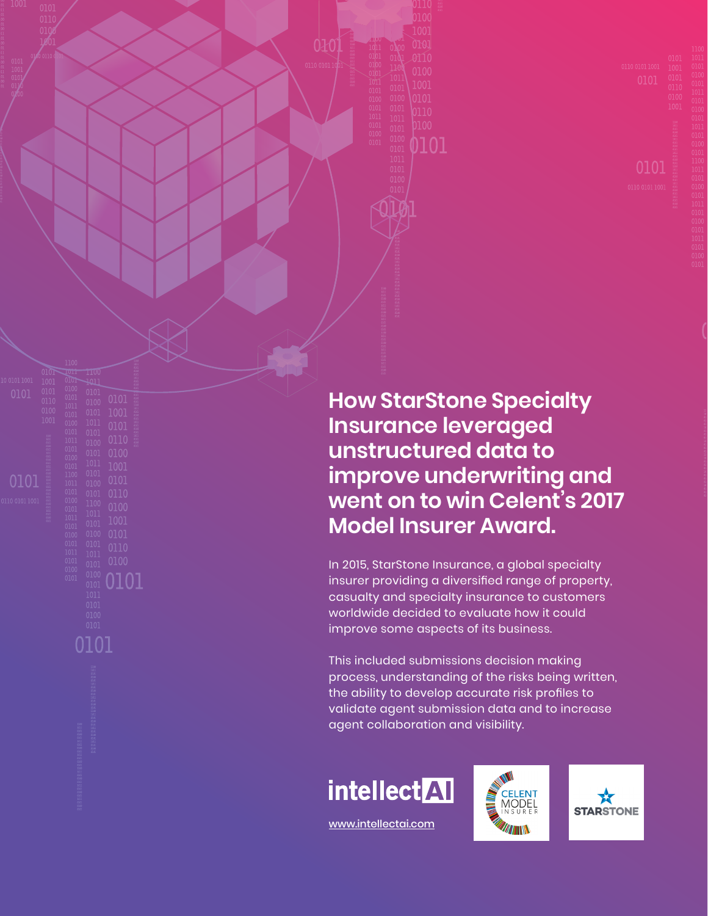**How StarStone Specialty Insurance leveraged unstructured data to improve underwriting and went on to win Celent's 2017 Model Insurer Award.**

0101

In 2015, StarStone Insurance, a global specialty insurer providing a diversified range of property, casualty and specialty insurance to customers worldwide decided to evaluate how it could improve some aspects of its business.

This included submissions decision making process, understanding of the risks being written, the ability to develop accurate risk profiles to validate agent submission data and to increase agent collaboration and visibility.







[www.intellectai.com](https://www.intellectai.com/)

0101